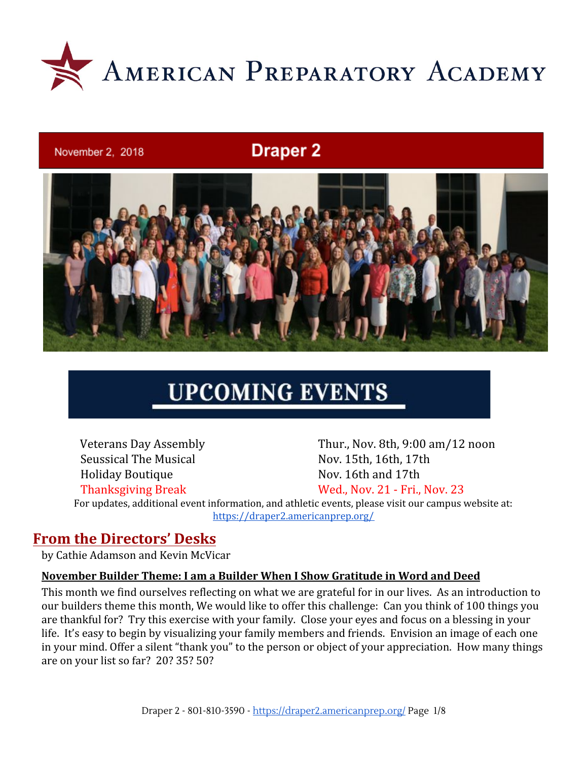

#### November 2, 2018

# **Draper 2**



# **UPCOMING EVENTS**

Veterans Day Assembly Thur., Nov. 8th, 9:00 am/12 noon Seussical The Musical Nov. 15th, 16th, 17th Holiday Boutique Nov. 16th and 17th Thanksgiving Break Wed., Nov. 21 - Fri., Nov. 23

For updates, additional event information, and athletic events, please visit our campus website at: <https://draper2.americanprep.org/>

### **From the Directors' Desks**

by Cathie Adamson and Kevin McVicar

#### **November Builder Theme: I am a Builder When I Show Gratitude in Word and Deed**

This month we find ourselves reflecting on what we are grateful for in our lives. As an introduction to our builders theme this month, We would like to offer this challenge: Can you think of 100 things you are thankful for? Try this exercise with your family. Close your eyes and focus on a blessing in your life. It's easy to begin by visualizing your family members and friends. Envision an image of each one in your mind. Offer a silent "thank you" to the person or object of your appreciation. How many things are on your list so far? 20? 35? 50?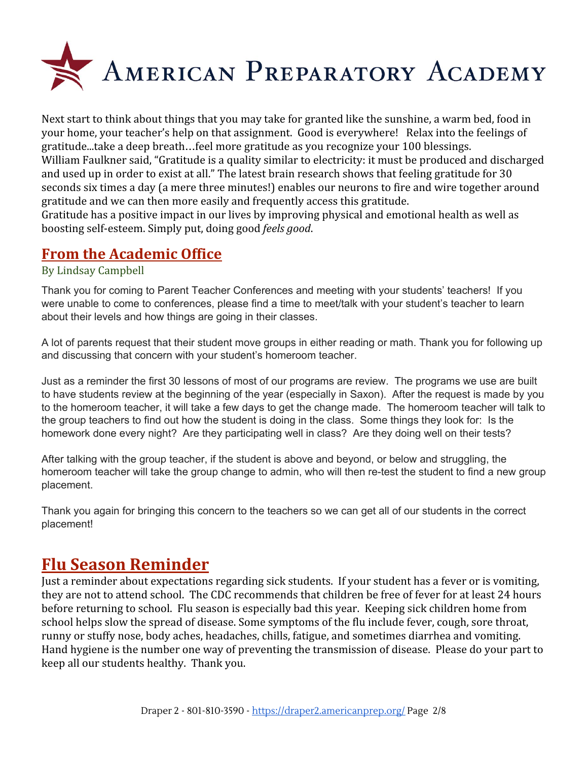

Next start to think about things that you may take for granted like the sunshine, a warm bed, food in your home, your teacher's help on that assignment. Good is everywhere! Relax into the feelings of gratitude...take a deep breath…feel more gratitude as you recognize your 100 blessings. William Faulkner said, "Gratitude is a quality similar to electricity: it must be produced and discharged and used up in order to exist at all." The latest brain research shows that feeling gratitude for 30 seconds six times a day (a mere three minutes!) enables our neurons to fire and wire together around gratitude and we can then more easily and frequently access this gratitude. Gratitude has a positive impact in our lives by improving physical and emotional health as well as

boosting self-esteem. Simply put, doing good *feels good*.

### **From the Academic Office**

#### By Lindsay Campbell

Thank you for coming to Parent Teacher Conferences and meeting with your students' teachers! If you were unable to come to conferences, please find a time to meet/talk with your student's teacher to learn about their levels and how things are going in their classes.

A lot of parents request that their student move groups in either reading or math. Thank you for following up and discussing that concern with your student's homeroom teacher.

Just as a reminder the first 30 lessons of most of our programs are review. The programs we use are built to have students review at the beginning of the year (especially in Saxon). After the request is made by you to the homeroom teacher, it will take a few days to get the change made. The homeroom teacher will talk to the group teachers to find out how the student is doing in the class. Some things they look for: Is the homework done every night? Are they participating well in class? Are they doing well on their tests?

After talking with the group teacher, if the student is above and beyond, or below and struggling, the homeroom teacher will take the group change to admin, who will then re-test the student to find a new group placement.

Thank you again for bringing this concern to the teachers so we can get all of our students in the correct placement!

# **Flu Season Reminder**

Just a reminder about expectations regarding sick students. If your student has a fever or is vomiting, they are not to attend school. The CDC recommends that children be free of fever for at least 24 hours before returning to school. Flu season is especially bad this year. Keeping sick children home from school helps slow the spread of disease. Some symptoms of the flu include fever, cough, sore throat, runny or stuffy nose, body aches, headaches, chills, fatigue, and sometimes diarrhea and vomiting. Hand hygiene is the number one way of preventing the transmission of disease. Please do your part to keep all our students healthy. Thank you.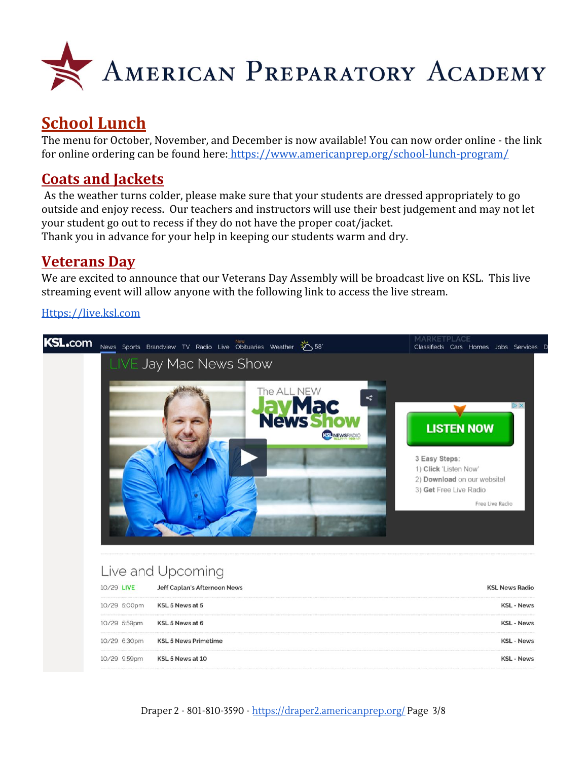

# **School Lunch**

The menu for October, November, and December is now available! You can now order online - the link for online ordering can be found here:<https://www.americanprep.org/school-lunch-program/>

# **Coats and Jackets**

As the weather turns colder, please make sure that your students are dressed appropriately to go outside and enjoy recess. Our teachers and instructors will use their best judgement and may not let your student go out to recess if they do not have the proper coat/jacket. Thank you in advance for your help in keeping our students warm and dry.

### **Veterans Day**

We are excited to announce that our Veterans Day Assembly will be broadcast live on KSL. This live streaming event will allow anyone with the following link to access the live stream.

#### [Https://live.ksl.com](https://live.ksl.com/)

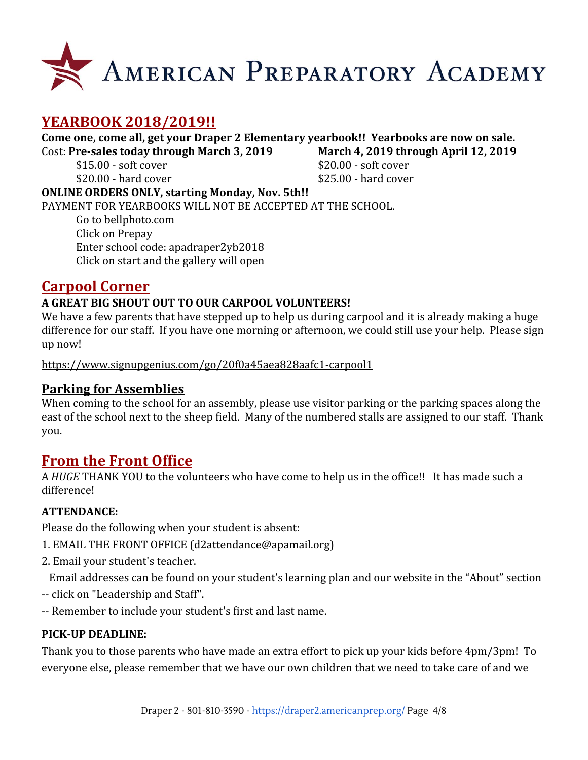

# **YEARBOOK 2018/2019!!**

**Come one, come all, get your Draper 2 Elementary yearbook!! Yearbooks are now on sale.** Cost: **Pre-sales today through March 3, 2019 March 4, 2019 through April 12, 2019**

 $$20.00$  - hard cover  $$25.00$  - hard cover

 $$15.00 - soft cover$   $$20.00 - soft cover$ 

**ONLINE ORDERS ONLY, starting Monday, Nov. 5th!!** PAYMENT FOR YEARBOOKS WILL NOT BE ACCEPTED AT THE SCHOOL. Go to bellphoto.com Click on Prepay Enter school code: apadraper2yb2018

Click on start and the gallery will open

# **Carpool Corner**

### **A GREAT BIG SHOUT OUT TO OUR CARPOOL VOLUNTEERS!**

We have a few parents that have stepped up to help us during carpool and it is already making a huge difference for our staff. If you have one morning or afternoon, we could still use your help. Please sign up now!

<https://www.signupgenius.com/go/20f0a45aea828aafc1-carpool1>

### **Parking for Assemblies**

When coming to the school for an assembly, please use visitor parking or the parking spaces along the east of the school next to the sheep field. Many of the numbered stalls are assigned to our staff. Thank you.

# **From the Front Office**

A *HUGE* THANK YOU to the volunteers who have come to help us in the office!! It has made such a difference!

#### **ATTENDANCE:**

Please do the following when your student is absent:

- 1. EMAIL THE FRONT OFFICE (d2attendance@apamail.org)
- 2. Email your student's teacher.

Email addresses can be found on your student's learning plan and our website in the "About" section

- -- click on "Leadership and Staff".
- -- Remember to include your student's first and last name.

#### **PICK-UP DEADLINE:**

Thank you to those parents who have made an extra effort to pick up your kids before 4pm/3pm! To everyone else, please remember that we have our own children that we need to take care of and we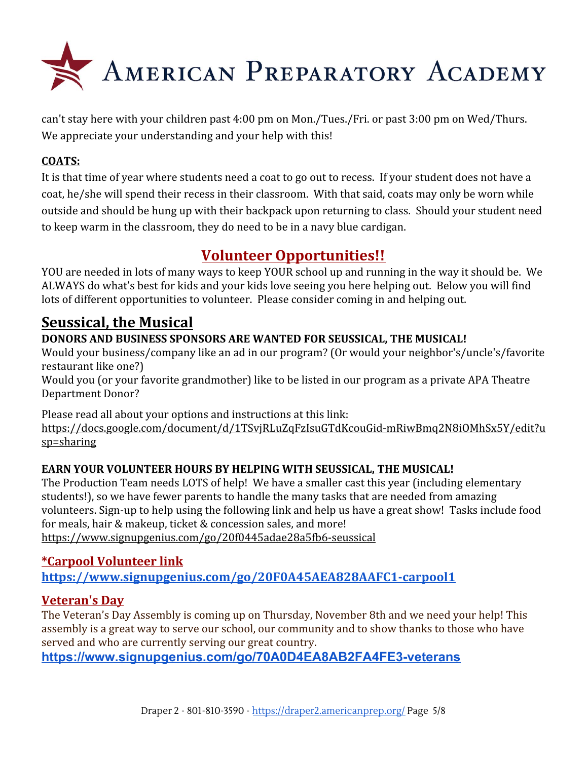

can't stay here with your children past 4:00 pm on Mon./Tues./Fri. or past 3:00 pm on Wed/Thurs. We appreciate your understanding and your help with this!

### **COATS:**

It is that time of year where students need a coat to go out to recess. If your student does not have a coat, he/she will spend their recess in their classroom. With that said, coats may only be worn while outside and should be hung up with their backpack upon returning to class. Should your student need to keep warm in the classroom, they do need to be in a navy blue cardigan.

# **Volunteer Opportunities!!**

YOU are needed in lots of many ways to keep YOUR school up and running in the way it should be. We ALWAYS do what's best for kids and your kids love seeing you here helping out. Below you will find lots of different opportunities to volunteer. Please consider coming in and helping out.

# **Seussical, the Musical**

### **DONORS AND BUSINESS SPONSORS ARE WANTED FOR SEUSSICAL, THE MUSICAL!**

Would your business/company like an ad in our program? (Or would your neighbor's/uncle's/favorite restaurant like one?)

Would you (or your favorite grandmother) like to be listed in our program as a private APA Theatre Department Donor?

Please read all about your options and instructions at this link:

[https://docs.google.com/document/d/1TSvjRLuZqFzIsuGTdKcouGid-mRiwBmq2N8iOMhSx5Y/edit?u](https://docs.google.com/document/d/1TSvjRLuZqFzIsuGTdKcouGid-mRiwBmq2N8iOMhSx5Y/edit?usp=sharing) [sp=sharing](https://docs.google.com/document/d/1TSvjRLuZqFzIsuGTdKcouGid-mRiwBmq2N8iOMhSx5Y/edit?usp=sharing)

### **EARN YOUR VOLUNTEER HOURS BY HELPING WITH SEUSSICAL, THE MUSICAL!**

The Production Team needs LOTS of help! We have a smaller cast this year (including elementary students!), so we have fewer parents to handle the many tasks that are needed from amazing volunteers. Sign-up to help using the following link and help us have a great show! Tasks include food for meals, hair & makeup, ticket & concession sales, and more! <https://www.signupgenius.com/go/20f0445adae28a5fb6-seussical>

### **\*Carpool Volunteer link <https://www.signupgenius.com/go/20F0A45AEA828AAFC1-carpool1>**

### **Veteran's Day**

The Veteran's Day Assembly is coming up on Thursday, November 8th and we need your help! This assembly is a great way to serve our school, our community and to show thanks to those who have served and who are currently serving our great country.

**<https://www.signupgenius.com/go/70A0D4EA8AB2FA4FE3-veterans>**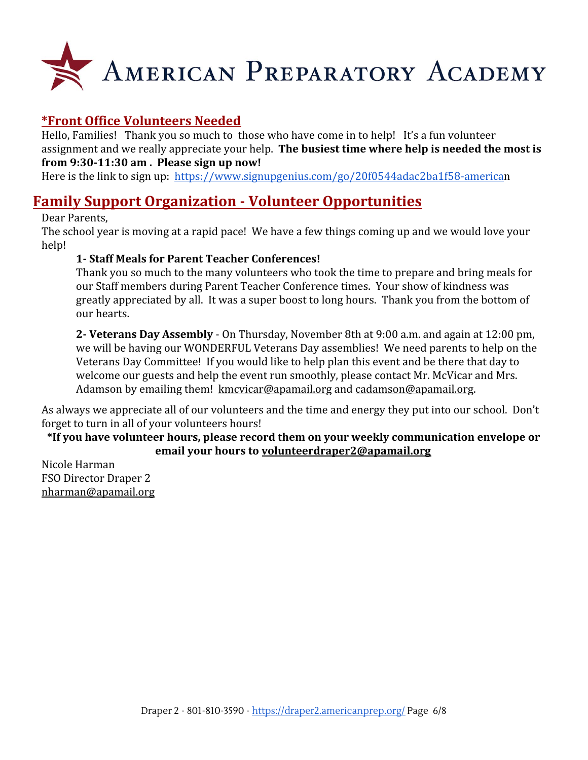

### **\*Front Office Volunteers Needed**

Hello, Families! Thank you so much to those who have come in to help! It's a fun volunteer assignment and we really appreciate your help. **The busiest time where help is needed the most is from 9:30-11:30 am . Please sign up now!**

Here is the link to sign up: <https://www.signupgenius.com/go/20f0544adac2ba1f58-american>

### **Family Support Organization - Volunteer Opportunities**

#### Dear Parents,

The school year is moving at a rapid pace! We have a few things coming up and we would love your help!

#### **1- Staff Meals for Parent Teacher Conferences!**

Thank you so much to the many volunteers who took the time to prepare and bring meals for our Staff members during Parent Teacher Conference times. Your show of kindness was greatly appreciated by all. It was a super boost to long hours. Thank you from the bottom of our hearts.

**2- Veterans Day Assembly** - On Thursday, November 8th at 9:00 a.m. and again at 12:00 pm, we will be having our WONDERFUL Veterans Day assemblies! We need parents to help on the Veterans Day Committee! If you would like to help plan this event and be there that day to welcome our guests and help the event run smoothly, please contact Mr. McVicar and Mrs. Adamson by emailing them! [kmcvicar@apamail.org](mailto:kmcvicar@apamail.org) and [cadamson@apamail.org.](mailto:cadamson@apamail.org)

As always we appreciate all of our volunteers and the time and energy they put into our school. Don't forget to turn in all of your volunteers hours!

#### **\*If you have volunteer hours, please record them on your weekly communication envelope or email your hours to [volunteerdraper2@apamail.org](mailto:volunteerdraper2@apamail.org)**

Nicole Harman FSO Director Draper 2 [nharman@apamail.org](mailto:nharman@apamail.org)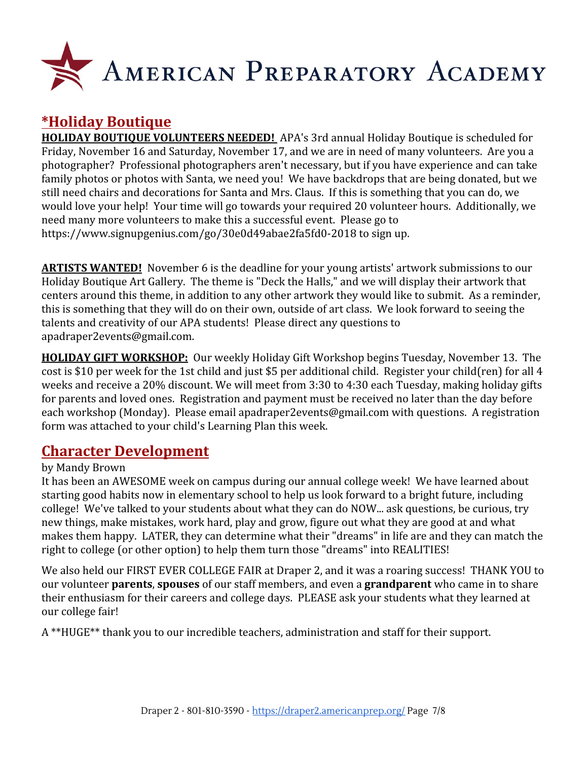

# **\*Holiday Boutique**

**HOLIDAY BOUTIQUE VOLUNTEERS NEEDED!** APA's 3rd annual Holiday Boutique is scheduled for Friday, November 16 and Saturday, November 17, and we are in need of many volunteers. Are you a photographer? Professional photographers aren't necessary, but if you have experience and can take family photos or photos with Santa, we need you! We have backdrops that are being donated, but we still need chairs and decorations for Santa and Mrs. Claus. If this is something that you can do, we would love your help! Your time will go towards your required 20 volunteer hours. Additionally, we need many more volunteers to make this a successful event. Please go to <https://www.signupgenius.com/go/30e0d49abae2fa5fd0-2018> to sign up.

**ARTISTS WANTED!** November 6 is the deadline for your young artists' artwork submissions to our Holiday Boutique Art Gallery. The theme is "Deck the Halls," and we will display their artwork that centers around this theme, in addition to any other artwork they would like to submit. As a reminder, this is something that they will do on their own, outside of art class. We look forward to seeing the talents and creativity of our APA students! Please direct any questions to apadraper2events@gmail.com.

**HOLIDAY GIFT WORKSHOP:** Our weekly Holiday Gift Workshop begins Tuesday, November 13. The cost is \$10 per week for the 1st child and just \$5 per additional child. Register your child(ren) for all 4 weeks and receive a 20% discount. We will meet from 3:30 to 4:30 each Tuesday, making holiday gifts for parents and loved ones. Registration and payment must be received no later than the day before each workshop (Monday). Please email apadraper2events@gmail.com with questions. A registration form was attached to your child's Learning Plan this week.

# **Character Development**

#### by Mandy Brown

It has been an AWESOME week on campus during our annual college week! We have learned about starting good habits now in elementary school to help us look forward to a bright future, including college! We've talked to your students about what they can do NOW... ask questions, be curious, try new things, make mistakes, work hard, play and grow, figure out what they are good at and what makes them happy. LATER, they can determine what their "dreams" in life are and they can match the right to college (or other option) to help them turn those "dreams" into REALITIES!

We also held our FIRST EVER COLLEGE FAIR at Draper 2, and it was a roaring success! THANK YOU to our volunteer **parents**, **spouses** of our staff members, and even a **grandparent** who came in to share their enthusiasm for their careers and college days. PLEASE ask your students what they learned at our college fair!

A \*\*HUGE\*\* thank you to our incredible teachers, administration and staff for their support.